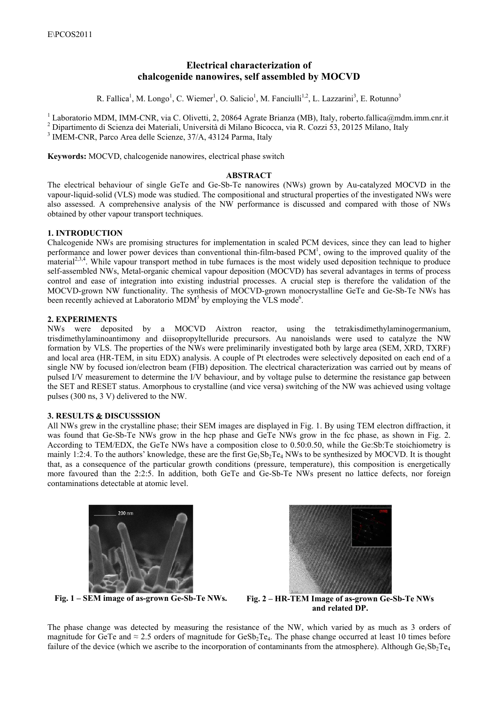# **Electrical characterization of chalcogenide nanowires, self assembled by MOCVD**

R. Fallica<sup>1</sup>, M. Longo<sup>1</sup>, C. Wiemer<sup>1</sup>, O. Salicio<sup>1</sup>, M. Fanciulli<sup>1,2</sup>, L. Lazzarini<sup>3</sup>, E. Rotunno<sup>3</sup>

<sup>1</sup> Laboratorio MDM, IMM-CNR, via C. Olivetti, 2, 20864 Agrate Brianza (MB), Italy, roberto.fallica@mdm.imm.cnr.it  $\frac{2}{5}$  Dipertimento di Sejenza dei Materiali, Università di Milano Biaecese, via B. Cezzi 53, 20125 Mil

<sup>2</sup> Dipartimento di Scienza dei Materiali, Università di Milano Bicocca, via R. Cozzi 53, 20125 Milano, Italy

 $3$  IMEM-CNR, Parco Area delle Scienze,  $37/A$ ,  $43124$  Parma, Italy

**Keywords:** MOCVD, chalcogenide nanowires, electrical phase switch

### **ABSTRACT**

The electrical behaviour of single GeTe and Ge-Sb-Te nanowires (NWs) grown by Au-catalyzed MOCVD in the vapour-liquid-solid (VLS) mode was studied. The compositional and structural properties of the investigated NWs were also assessed. A comprehensive analysis of the NW performance is discussed and compared with those of NWs obtained by other vapour transport techniques.

# **1. INTRODUCTION**

Chalcogenide NWs are promising structures for implementation in scaled PCM devices, since they can lead to higher performance and lower power devices than conventional thin-film-based PCM<sup>1</sup>, owing to the improved quality of the material<sup>2,3,4</sup>. While vapour transport method in tube furnaces is the most widely used deposition technique to produce self-assembled NWs, Metal-organic chemical vapour deposition (MOCVD) has several advantages in terms of process control and ease of integration into existing industrial processes. A crucial step is therefore the validation of the MOCVD-grown NW functionality. The synthesis of MOCVD-grown monocrystalline GeTe and Ge-Sb-Te NWs has been recently achieved at Laboratorio MDM<sup>5</sup> by employing the VLS mode<sup>6</sup>.

## **2. EXPERIMENTS**

NWs were deposited by a MOCVD Aixtron reactor, using the tetrakisdimethylaminogermanium, trisdimethylaminoantimony and diisopropyltelluride precursors. Au nanoislands were used to catalyze the NW formation by VLS. The properties of the NWs were preliminarily investigated both by large area (SEM, XRD, TXRF) and local area (HR-TEM, in situ EDX) analysis. A couple of Pt electrodes were selectively deposited on each end of a single NW by focused ion/electron beam (FIB) deposition. The electrical characterization was carried out by means of pulsed I/V measurement to determine the I/V behaviour, and by voltage pulse to determine the resistance gap between the SET and RESET status. Amorphous to crystalline (and vice versa) switching of the NW was achieved using voltage pulses (300 ns, 3 V) delivered to the NW.

### **3. RESULTS** ! **DISCUSSSION**

All NWs grew in the crystalline phase; their SEM images are displayed in Fig. 1. By using TEM electron diffraction, it was found that Ge-Sb-Te NWs grow in the hcp phase and GeTe NWs grow in the fcc phase, as shown in Fig. 2. According to TEM/EDX, the GeTe NWs have a composition close to 0.50:0.50, while the Ge:Sb:Te stoichiometry is mainly 1:2:4. To the authors' knowledge, these are the first  $Ge_1Sb_2Te_4$  NWs to be synthesized by MOCVD. It is thought that, as a consequence of the particular growth conditions (pressure, temperature), this composition is energetically more favoured than the 2:2:5. In addition, both GeTe and Ge-Sb-Te NWs present no lattice defects, nor foreign contaminations detectable at atomic level.





**Fig. 1 – SEM image of as-grown Ge-Sb-Te NWs. Fig. 2 – HR-TEM Image of as-grown Ge-Sb-Te NWs and related DP.** 

The phase change was detected by measuring the resistance of the NW, which varied by as much as 3 orders of magnitude for GeTe and  $\approx$  2.5 orders of magnitude for GeSb<sub>2</sub>Te<sub>4</sub>. The phase change occurred at least 10 times before failure of the device (which we ascribe to the incorporation of contaminants from the atmosphere). Although Ge $_1$ Sb<sub>2</sub>Te<sub>4</sub>